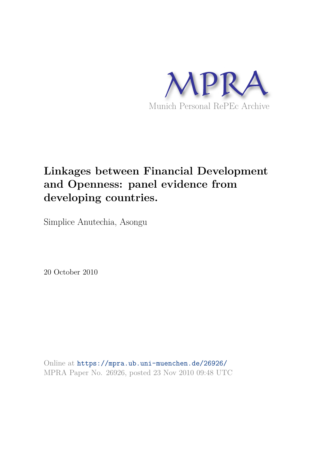

# **Linkages between Financial Development and Openness: panel evidence from developing countries.**

Simplice Anutechia, Asongu

20 October 2010

Online at https://mpra.ub.uni-muenchen.de/26926/ MPRA Paper No. 26926, posted 23 Nov 2010 09:48 UTC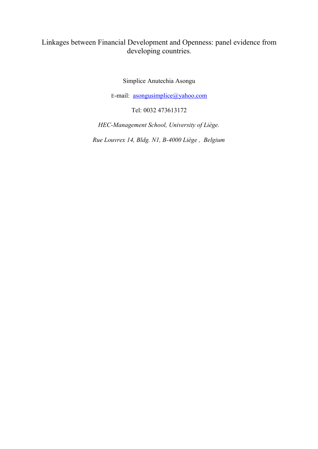## Linkages between Financial Development and Openness: panel evidence from developing countries.

Simplice Anutechia Asongu

E-mail: asongusimplice@yahoo.com

Tel: 0032 473613172

*HEC-Management School, University of Liège.*

*Rue Louvrex 14, Bldg. N1, B-4000 Liège , Belgium*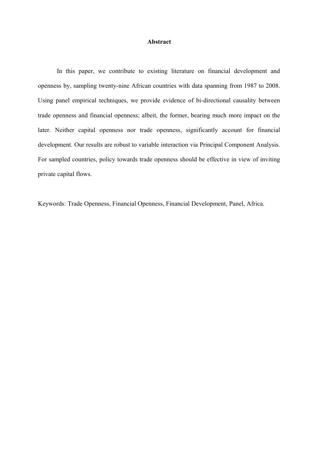#### **Abstract**

In this paper, we contribute to existing literature on financial development and openness by, sampling twenty-nine African countries with data spanning from 1987 to 2008. Using panel empirical techniques, we provide evidence of bi-directional causality between trade openness and financial openness; albeit, the former, bearing much more impact on the later. Neither capital openness nor trade openness, significantly account for financial development. Our results are robust to variable interaction via Principal Component Analysis. For sampled countries, policy towards trade openness should be effective in view of inviting private capital flows.

Keywords: Trade Openness, Financial Openness, Financial Development, Panel, Africa.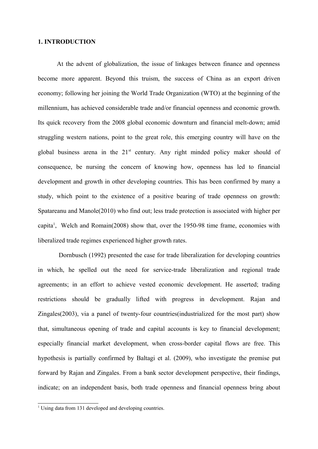#### **1. INTRODUCTION**

At the advent of globalization, the issue of linkages between finance and openness become more apparent. Beyond this truism, the success of China as an export driven economy; following her joining the World Trade Organization (WTO) at the beginning of the millennium, has achieved considerable trade and/or financial openness and economic growth. Its quick recovery from the 2008 global economic downturn and financial melt-down; amid struggling western nations, point to the great role, this emerging country will have on the global business arena in the  $21<sup>st</sup>$  century. Any right minded policy maker should of consequence, be nursing the concern of knowing how, openness has led to financial development and growth in other developing countries. This has been confirmed by many a study, which point to the existence of a positive bearing of trade openness on growth: Spatareanu and Manole(2010) who find out; less trade protection is associated with higher per capita<sup>1</sup>, Welch and Romain(2008) show that, over the 1950-98 time frame, economies with liberalized trade regimes experienced higher growth rates.

 Dornbusch (1992) presented the case for trade liberalization for developing countries in which, he spelled out the need for service-trade liberalization and regional trade agreements; in an effort to achieve vested economic development. He asserted; trading restrictions should be gradually lifted with progress in development. Rajan and Zingales(2003), via a panel of twenty-four countries(industrialized for the most part) show that, simultaneous opening of trade and capital accounts is key to financial development; especially financial market development, when cross-border capital flows are free. This hypothesis is partially confirmed by Baltagi et al. (2009), who investigate the premise put forward by Rajan and Zingales. From a bank sector development perspective, their findings, indicate; on an independent basis, both trade openness and financial openness bring about

<sup>&</sup>lt;sup>1</sup> Using data from 131 developed and developing countries.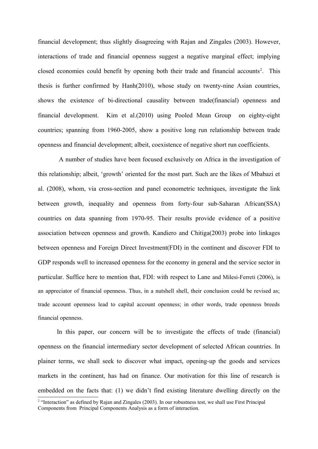financial development; thus slightly disagreeing with Rajan and Zingales (2003). However, interactions of trade and financial openness suggest a negative marginal effect; implying closed economies could benefit by opening both their trade and financial accounts<sup>2</sup>. This thesis is further confirmed by Hanh(2010), whose study on twenty-nine Asian countries, shows the existence of bi-directional causality between trade(financial) openness and financial development. Kim et al.(2010) using Pooled Mean Group on eighty-eight countries; spanning from 1960-2005, show a positive long run relationship between trade openness and financial development; albeit, coexistence of negative short run coefficients.

 A number of studies have been focused exclusively on Africa in the investigation of this relationship; albeit, 'growth' oriented for the most part. Such are the likes of Mbabazi et al. (2008), whom, via cross-section and panel econometric techniques, investigate the link between growth, inequality and openness from forty-four sub-Saharan African(SSA) countries on data spanning from 1970-95. Their results provide evidence of a positive association between openness and growth. Kandiero and Chitiga(2003) probe into linkages between openness and Foreign Direct Investment(FDI) in the continent and discover FDI to GDP responds well to increased openness for the economy in general and the service sector in particular. Suffice here to mention that, FDI: with respect to Lane and Milesi-Ferreti (2006), is an appreciator of financial openness. Thus, in a nutshell shell, their conclusion could be revised as; trade account openness lead to capital account openness; in other words, trade openness breeds financial openness.

In this paper, our concern will be to investigate the effects of trade (financial) openness on the financial intermediary sector development of selected African countries. In plainer terms, we shall seek to discover what impact, opening-up the goods and services markets in the continent, has had on finance. Our motivation for this line of research is embedded on the facts that: (1) we didn't find existing literature dwelling directly on the

<sup>&</sup>lt;sup>2</sup> "Interaction" as defined by Rajan and Zingales (2003). In our robustness test, we shall use First Principal Components from Principal Components Analysis as a form of interaction.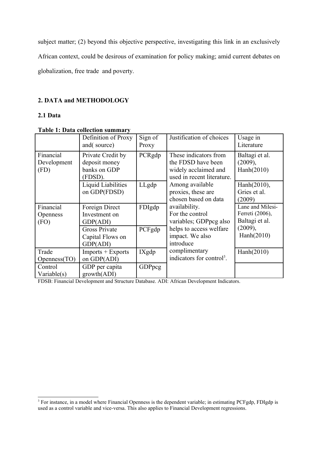subject matter; (2) beyond this objective perspective, investigating this link in an exclusively African context, could be desirous of examination for policy making; amid current debates on globalization, free trade and poverty.

## **2. DATA and METHODOLOGY**

## **2.1 Data**

## **Table 1: Data collection summary**

|                                      | Definition of Proxy<br>and(source)                            | Sign of<br>Proxy | Justification of choices                                                                          | Usage in<br>Literature                                |
|--------------------------------------|---------------------------------------------------------------|------------------|---------------------------------------------------------------------------------------------------|-------------------------------------------------------|
| Financial<br>Development<br>(FD)     | Private Credit by<br>deposit money<br>banks on GDP<br>(FDSD). | PCRgdp           | These indicators from<br>the FDSD have been<br>widely acclaimed and<br>used in recent literature. | Baltagi et al.<br>(2009),<br>Hanh(2010)               |
|                                      | Liquid Liabilities<br>on GDP(FDSD)                            | LLgdp            | Among available<br>proxies, these are<br>chosen based on data                                     | Hanh(2010),<br>Gries et al.<br>(2009)                 |
| Financial<br><b>Openness</b><br>(FO) | Foreign Direct<br>Investment on<br>GDP(ADI)                   | FDIgdp           | availability.<br>For the control<br>variables; GDPpcg also                                        | Lane and Milesi-<br>Ferreti (2006),<br>Baltagi et al. |
|                                      | <b>Gross Private</b><br>Capital Flows on<br>GDP(ADI)          | PCFgdp           | helps to access welfare<br>impact. We also<br>introduce                                           | (2009),<br>Hanh(2010)                                 |
| Trade<br>Openness(TO)                | $Imports + Exports$<br>on GDP(ADI)                            | IXgdp            | complimentary<br>indicators for control <sup>3</sup> .                                            | Hanh(2010)                                            |
| Control<br>Variable $(s)$            | GDP per capita<br>growth(ADI)                                 | <b>GDPpcg</b>    |                                                                                                   |                                                       |

FDSB: Financial Development and Structure Database. ADI: African Development Indicators.

<sup>&</sup>lt;sup>3</sup> For instance, in a model where Financial Openness is the dependent variable; in estimating PCFgdp, FDIgdp is used as a control variable and vice-versa. This also applies to Financial Development regressions.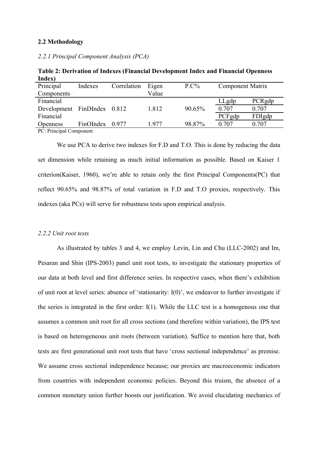#### **2.2 Methodology**

*2.2.1 Principal Component Analysis (PCA)*

| пиех)                       |           |             |       |         |                         |        |
|-----------------------------|-----------|-------------|-------|---------|-------------------------|--------|
| Principal                   | Indexes   | Correlation | Eigen | $P.C\%$ | <b>Component Matrix</b> |        |
| Components                  |           |             | Value |         |                         |        |
| Financial                   |           |             |       |         | LLgdp                   | PCRgdp |
| Development FinDIndex 0.812 |           |             | 1.812 | 90.65%  | 0.707                   | 0.707  |
| Financial                   |           |             |       |         | PCFgdp                  | FDIgdp |
| <b>Openness</b>             | FinOIndex | 0.977       | 1977  | 98.87%  | 0.707                   | 0.707  |
|                             |           |             |       |         |                         |        |

**Table 2: Derivation of Indexes (Financial Development Index and Financial Openness Index)**

PC: Principal Component

We use PCA to derive two indexes for F.D and T.O. This is done by reducing the data set dimension while retaining as much initial information as possible. Based on Kaiser 1 criterion(Kaiser, 1960), we're able to retain only the first Principal Components(PC) that reflect 90.65% and 98.87% of total variation in F.D and T.O proxies, respectively. This indexes (aka PCs) will serve for robustness tests upon empirical analysis.

#### *2.2.2 Unit root tests*

As illustrated by tables 3 and 4, we employ Levin, Lin and Chu (LLC-2002) and Im, Pesaran and Shin (IPS-2003) panel unit root tests, to investigate the stationary properties of our data at both level and first difference series. In respective cases, when there's exhibition of unit root at level series: absence of 'stationarity: I(0)', we endeavor to further investigate if the series is integrated in the first order: I(1). While the LLC test is a homogenous one that assumes a common unit root for all cross sections (and therefore within variation), the IPS test is based on heterogeneous unit roots (between variation). Suffice to mention here that, both tests are first generational unit root tests that have 'cross sectional independence' as premise. We assume cross sectional independence because; our proxies are macroeconomic indicators from countries with independent economic policies. Beyond this truism, the absence of a common monetary union further boosts our justification. We avoid elucidating mechanics of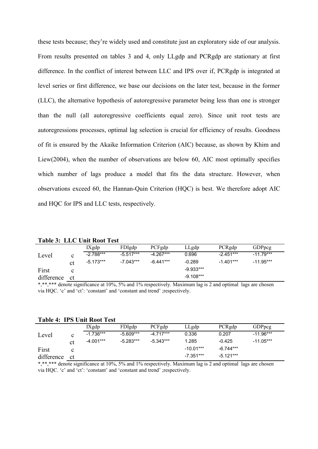these tests because; they're widely used and constitute just an exploratory side of our analysis. From results presented on tables 3 and 4, only LLgdp and PCRgdp are stationary at first difference. In the conflict of interest between LLC and IPS over if, PCRgdp is integrated at level series or first difference, we base our decisions on the later test, because in the former (LLC), the alternative hypothesis of autoregressive parameter being less than one is stronger than the null (all autoregressive coefficients equal zero). Since unit root tests are autoregressions processes, optimal lag selection is crucial for efficiency of results. Goodness of fit is ensured by the Akaike Information Criterion (AIC) because, as shown by Khim and Liew(2004), when the number of observations are below 60, AIC most optimally specifies which number of lags produce a model that fits the data structure. However, when observations exceed 60, the Hannan-Quin Criterion (HQC) is best. We therefore adopt AIC and HQC for IPS and LLC tests, respectively.

**Table 3: LLC Unit Root Test**

|                                |                                         | IXgdp        | FDIgdp             | PCFgdp            | LLgdp       | PCRgdp         | <b>GDPpcg</b> |  |
|--------------------------------|-----------------------------------------|--------------|--------------------|-------------------|-------------|----------------|---------------|--|
| Level                          | $\sim$                                  | $-2.788***$  | $-5.517***$        | $-4.267***$       | 0.696       | $-2.451***$    | $-11.79***$   |  |
|                                | ct                                      | $-5.173***$  | $-7.043***$        | $-6.441***$       | $-0.289$    | $-1.401***$    | $-11.95***$   |  |
| First                          |                                         |              |                    |                   | $-9.933***$ |                |               |  |
| difference                     | <sub>ct</sub>                           |              |                    |                   | $-9.108***$ |                |               |  |
| also also the character of the | and the contract of the contract of the | $\cdot$ 100/ | 1.101<br>$-\alpha$ | $\cdots$ $\cdots$ | $\sim$      | $\blacksquare$ |               |  |

\*,\*\*,\*\*\* denote significance at 10%, 5% and 1% respectively. Maximum lag is 2 and optimal lags are chosen via HQC. 'c' and 'ct': 'constant' and 'constant and trend' ;respectively.

| <b>Table 4: IPS Unit Root Test</b> |  |  |
|------------------------------------|--|--|
|------------------------------------|--|--|

|            |               | IXgdp       | FDIgdp      | PCFgdp      | LLgdp       | PCRgdp      | <b>GDPpcg</b> |
|------------|---------------|-------------|-------------|-------------|-------------|-------------|---------------|
| Level      | $\mathbf c$   | $-1.736***$ | $-5.609***$ | $-4.717***$ | 0.336       | 0.207       | $-11.96***$   |
|            | сt            | $-4.001***$ | $-5.283***$ | $-5.343***$ | 1.285       | $-0.425$    | $-11.05***$   |
| First      |               |             |             |             | $-10.01***$ | $-6.744***$ |               |
| difference | <sub>ct</sub> |             |             |             | $-7.351***$ | $-5.121***$ |               |

\*,\*\*\*\* denote significance at 10%, 5% and 1% respectively. Maximum lag is 2 and optimal lags are chosen via HQC. 'c' and 'ct': 'constant' and 'constant and trend' ;respectively.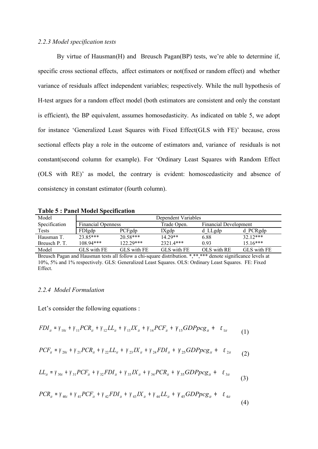#### *2.2.3 Model specification tests*

By virtue of Hausman(H) and Breusch Pagan(BP) tests, we're able to determine if, specific cross sectional effects, affect estimators or not(fixed or random effect) and whether variance of residuals affect independent variables; respectively. While the null hypothesis of H-test argues for a random effect model (both estimators are consistent and only the constant is efficient), the BP equivalent, assumes homosedasticity. As indicated on table 5, we adopt for instance 'Generalized Least Squares with Fixed Effect(GLS with FE)' because, cross sectional effects play a role in the outcome of estimators and, variance of residuals is not constant(second column for example). For 'Ordinary Least Squares with Random Effect (OLS with RE)' as model, the contrary is evident: homoscedasticity and absence of consistency in constant estimator (fourth column).

| Model         | Dependent Variables       |             |             |                              |             |  |  |  |
|---------------|---------------------------|-------------|-------------|------------------------------|-------------|--|--|--|
| Specification | <b>Financial Openness</b> |             | Trade Open. | <b>Financial Development</b> |             |  |  |  |
| Tests         | <b>FDIgdp</b>             | PCFgdp      | IXgdp       | d LLgdp                      | d PCRgdp    |  |  |  |
| Hausman T.    | $23.85***$                | $20.58***$  | $14.29**$   | 6.88                         | $3212***$   |  |  |  |
| Breusch P. T. | $10894***$                | $122.29***$ | 2321.4***   | 0.93                         | $15.16***$  |  |  |  |
| Model         | GLS with FE.              | GLS with FE | GLS with FE | OLS with RE                  | GLS with FE |  |  |  |

**Table 5 : Panel Model Specification**

Breusch Pagan and Hausman tests all follow a chi-square distribution. \*,\*\*,\*\*\* denote significance levels at 10%, 5% and 1% respectively. GLS: Generalized Least Squares. OLS: Ordinary Least Squares. FE: Fixed Effect.

#### *2.2.4 Model Formulation*

Let's consider the following equations :

$$
FDI_{it} = \gamma_{10i} + \gamma_{11} PCR_{it} + \gamma_{12} LL_{it} + \gamma_{13} IX_{it} + \gamma_{14} PCR_{it} + \gamma_{15} GDPPCg_{it} + \epsilon_{1it}
$$
(1)

$$
PCF_{ii} = \gamma_{20i} + \gamma_{21} PCR_{ii} + \gamma_{22} LL_{ii} + \gamma_{23} IX_{ii} + \gamma_{24} FDI_{ii} + \gamma_{25} GDPpcg_{ii} + \epsilon_{2ii}
$$
 (2)

$$
LL_{it} = \gamma_{30i} + \gamma_{31} PCF_{it} + \gamma_{32} FDI_{it} + \gamma_{33} IX_{it} + \gamma_{34} PCR_{it} + \gamma_{35} GDPpcg_{it} + \epsilon_{3it}
$$
(3)

$$
PCR_{ii} = \gamma_{40i} + \gamma_{41} PCR_{it} + \gamma_{42} FDI_{it} + \gamma_{43} IX_{it} + \gamma_{44} LL_{it} + \gamma_{45} GDPPCg_{it} + \epsilon_{4it}
$$
\n(4)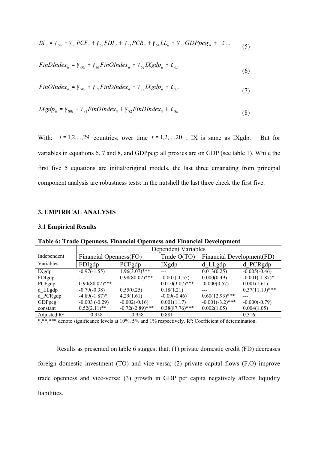$$
IX_{it} = \gamma_{50i} + \gamma_{51} PCF_{it} + \gamma_{52} FDI_{it} + \gamma_{53} PCR_{it} + \gamma_{54} LL_{it} + \gamma_{55} GDPpcg_{it} + \epsilon_{5it}
$$
 (5)

$$
FinDIndex_{it} = \gamma_{60i} + \gamma_{61}FinOIndex_{it} + \gamma_{62}IXgdp_{it} + \varepsilon_{6it}
$$
\n
$$
(6)
$$

$$
FinOIndex_{it} = \gamma_{70i} + \gamma_{71}FinDIndex_{it} + \gamma_{72}Xgdp_{it} + \varepsilon_{7it}
$$
\n(7)

$$
IXgdp_{it} = \gamma_{80i} + \gamma_{81}FinOIndex_{it} + \gamma_{82}FinDIndex_{it} + \varepsilon_{8it}
$$
\n(8)

With:  $i = 1, 2, \ldots, 29$  countries; over time  $t = 1, 2, \ldots, 20$ ; IX is same as IXgdp. But for variables in equations 6, 7 and 8, and GDPpcg; all proxies are on GDP (see table 1). While the first five 5 equations are initial/original models, the last three emanating from principal component analysis are robustness tests: in the nutshell the last three check the first five.

#### **3. EMPIRICAL ANALYSIS**

#### **3.1 Empirical Results**

**Table 6: Trade Openness, Financial Openness and Financial Development**

|                 | Dependent Variables    |                    |                   |                           |                   |  |  |  |
|-----------------|------------------------|--------------------|-------------------|---------------------------|-------------------|--|--|--|
| Independent     | Financial Openness(FO) |                    | Trade O(TO)       | Financial Development(FD) |                   |  |  |  |
| Variables       | FDIgdp                 | PCFgdp             | IXgdp             | $d$ LLgdp                 | d PCRgdp          |  |  |  |
| $IX$ gdp        | $-0.97(-1.55)$         | $1.96(3.07)$ ***   |                   | 0.013(0.25)               | $-0.005(-0.46)$   |  |  |  |
| FDIgdp          |                        | $0.98(80.02)$ ***  | $-0.005(-1.55)$   | 0.000(0.49)               | $-0.001(-1.87)$ * |  |  |  |
| PCFgdp          | $0.94(80.02)$ ***      |                    | $0.010(3.07)$ *** | $-0.000(0.57)$            | 0.001(1.61)       |  |  |  |
| d LLgdp         | $-0.79(-0.38)$         | 0.55(0.25)         | 0.18(1.21)        |                           | $0.37(11.19)$ *** |  |  |  |
| d PCRgdp        | $-4.89(-1.87)$ *       | 4.29(1.61)         | $-0.09(-0.46)$    | $0.60(12.93)$ ***         |                   |  |  |  |
| GDPpcg          | $-0,003(-0.29)$        | $-0.002(-0.16)$    | 0.001(1.17)       | $-0.001(-3.2)$ ***        | $-0.000(-0.79)$   |  |  |  |
| constant        | $0.52(2.11)$ **        | $-0.72(-2.89)$ *** | $0.38(87.76)$ *** | 0.002(1.05)               | 0.004(1.05)       |  |  |  |
| Adjusted. $R^2$ | 0.958                  | 0.958              | 0.881             |                           | 0.316             |  |  |  |

\*,\*\*,\*\*\* denote significance levels at 10%, 5% and 1% respectively. R²: Coefficient of determination.

Results as presented on table 6 suggest that: (1) private domestic credit (FD) decreases foreign domestic investment (TO) and vice-versa; (2) private capital flows (F.O) improve trade openness and vice-versa; (3) growth in GDP per capita negatively affects liquidity liabilities.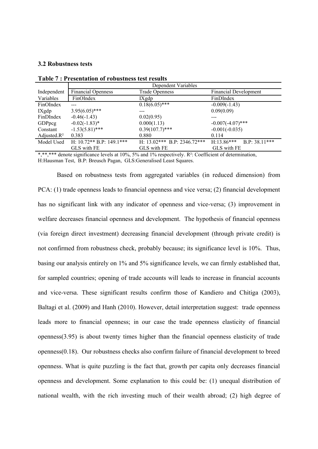#### **3.2 Robustness tests**

|                 | Dependent Variables          |                               |                              |  |  |  |
|-----------------|------------------------------|-------------------------------|------------------------------|--|--|--|
| Independent     | <b>Financial Openness</b>    | <b>Trade Openness</b>         | <b>Financial Development</b> |  |  |  |
| Variables       | FinOIndex                    | IXgdp                         | FinDIndex                    |  |  |  |
| FinOIndex       |                              | $0.18(6.05)$ ***              | $-0.009(-1.43)$              |  |  |  |
| IXgdp           | $3.95(6.05)$ ***             | ---                           | 0.09(0.09)                   |  |  |  |
| FinDIndex       | $-0.46(-1.43)$               | 0.02(0.95)                    |                              |  |  |  |
| GDPpcg          | $-0.02(-1.83)^*$             | 0.000(1.13)                   | $-0.007(-4.07)$ ***          |  |  |  |
| Constant        | $-1.53(5.81)$ ***            | $0.39(107.7)$ ***             | $-0.001(-0.035)$             |  |  |  |
| Adjusted. $R^2$ | 0.383                        | 0.880                         | 0.114                        |  |  |  |
| Model Used      | H: $10.72**$ B.P: $149.1***$ | H: $13.02***$ B.P: 2346.72*** | $H:13.86***$ B.P: 38.11***   |  |  |  |
|                 | GLS with FE                  | GLS with FE                   | GLS with FE                  |  |  |  |

**Table 7 : Presentation of robustness test results**

\*,\*\*,\*\*\* denote significance levels at 10%, 5% and 1% respectively. R<sup>2</sup>: Coefficient of determination, H:Hausman Test, B.P: Breusch Pagan, GLS:Generalised Least Squares.

Based on robustness tests from aggregated variables (in reduced dimension) from PCA: (1) trade openness leads to financial openness and vice versa; (2) financial development has no significant link with any indicator of openness and vice-versa; (3) improvement in welfare decreases financial openness and development. The hypothesis of financial openness (via foreign direct investment) decreasing financial development (through private credit) is not confirmed from robustness check, probably because; its significance level is 10%. Thus, basing our analysis entirely on 1% and 5% significance levels, we can firmly established that, for sampled countries; opening of trade accounts will leads to increase in financial accounts and vice-versa. These significant results confirm those of Kandiero and Chitiga (2003), Baltagi et al. (2009) and Hanh (2010). However, detail interpretation suggest: trade openness leads more to financial openness; in our case the trade openness elasticity of financial openness(3.95) is about twenty times higher than the financial openness elasticity of trade openness(0.18). Our robustness checks also confirm failure of financial development to breed openness. What is quite puzzling is the fact that, growth per capita only decreases financial openness and development. Some explanation to this could be: (1) unequal distribution of national wealth, with the rich investing much of their wealth abroad; (2) high degree of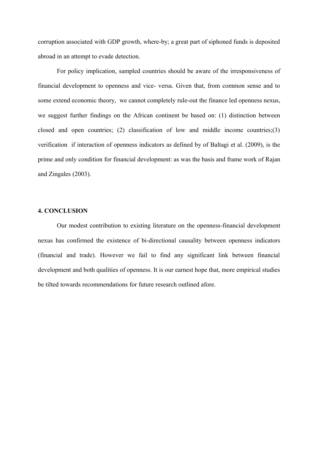corruption associated with GDP growth, where-by; a great part of siphoned funds is deposited abroad in an attempt to evade detection.

For policy implication, sampled countries should be aware of the irresponsiveness of financial development to openness and vice- versa. Given that, from common sense and to some extend economic theory, we cannot completely rule-out the finance led openness nexus, we suggest further findings on the African continent be based on: (1) distinction between closed and open countries; (2) classification of low and middle income countries;(3) verification if interaction of openness indicators as defined by of Baltagi et al. (2009), is the prime and only condition for financial development: as was the basis and frame work of Rajan and Zingales (2003).

#### **4. CONCLUSION**

Our modest contribution to existing literature on the openness-financial development nexus has confirmed the existence of bi-directional causality between openness indicators (financial and trade). However we fail to find any significant link between financial development and both qualities of openness. It is our earnest hope that, more empirical studies be tilted towards recommendations for future research outlined afore.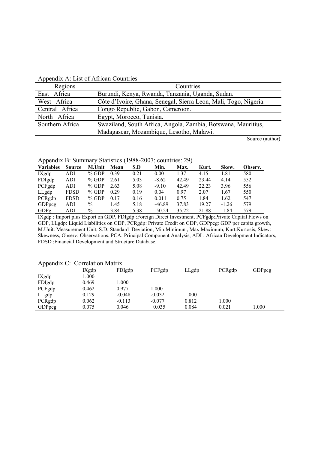| Regions         | Countries                                                        |
|-----------------|------------------------------------------------------------------|
| East Africa     | Burundi, Kenya, Rwanda, Tanzania, Uganda, Sudan.                 |
| West Africa     | Côte d'Ivoire, Ghana, Senegal, Sierra Leon, Mali, Togo, Nigeria. |
| Central Africa  | Congo Republic, Gabon, Cameroon.                                 |
| North Africa    | Egypt, Morocco, Tunisia.                                         |
| Southern Africa | Swaziland, South Africa, Angola, Zambia, Botswana, Mauritius,    |
|                 | Madagascar, Mozambique, Lesotho, Malawi.                         |
|                 |                                                                  |

Appendix A: List of African Countries

Source (author)

Appendix B: Summary Statistics (1988-2007; countries: 29)

| <b>Variables</b> | <b>Source</b> | M.Unit        | Mean | S.D  | Min.     | Max.  | Kurt. | Skew.   | Observ. |
|------------------|---------------|---------------|------|------|----------|-------|-------|---------|---------|
| IXgdp            | ADI           | $%$ GDP       | 0.39 | 0.21 | 0.00     | 1.37  | 4.15  | 1.81    | 580     |
| FDIgdp           | ADI           | $%$ GDP       | 2.61 | 5.03 | $-8.62$  | 42.49 | 23.44 | 4.14    | 552     |
| PCFgdp           | ADI           | $%$ GDP       | 2.63 | 5.08 | $-9.10$  | 42.49 | 22.23 | 3.96    | 556     |
| LLgdp            | <b>FDSD</b>   | $%$ GDP       | 0.29 | 0.19 | 0.04     | 0.97  | 2.07  | 1.67    | 550     |
| PCRgdp           | <b>FDSD</b>   | $%$ GDP       | 0.17 | 0.16 | 0.011    | 0.75  | 1.84  | 1.62    | 547     |
| GDPpcg           | ADI           | $\frac{0}{0}$ | 1.45 | 5.18 | $-46.89$ | 37.83 | 19.27 | $-1.26$ | 579     |
| GDPg             | ADI           | $\%$          | 3.84 | 5.38 | $-50.24$ | 35.22 | 21.88 | $-1.84$ | 579     |

IXgdp : Import plus Export on GDP, FDIgdp :Foreign Direct Investment, PCFgdp:Private Capital Flows on GDP, LLgdp: Liquid Liabilities on GDP, PCRgdp: Private Credit on GDP, GDPpcg: GDP per capita growth, M.Unit: Measurement Unit, S.D: Standard Deviation, Min:Minimun , Max:Maximum, Kurt:Kurtosis, Skew: Skewness, Observ: Observations. PCA: Principal Component Analysis, ADI : African Development Indicators, FDSD :Financial Development and Structure Database.

| $\Delta$ ppendia C. Correlation ividiria |       |          |          |       |        |               |  |
|------------------------------------------|-------|----------|----------|-------|--------|---------------|--|
|                                          | IXgdp | FDIgdp   | PCFgdp   | LLgdp | PCRgdp | <b>GDPpcg</b> |  |
| IXgdp                                    | 000.1 |          |          |       |        |               |  |
| FDIgdp                                   | 0.469 | 1.000    |          |       |        |               |  |
| PCFgdp                                   | 0.462 | 0.977    | 1.000    |       |        |               |  |
| LLgdp                                    | 0.129 | $-0.048$ | $-0.032$ | 000.1 |        |               |  |
| PCRgdp                                   | 0.062 | $-0.113$ | $-0.077$ | 0.812 | 1.000  |               |  |
| GDPpcg                                   | 0.075 | 0.046    | 0.035    | 0.084 | 0.021  | 1.000         |  |

#### Appendix C: Correlation Matrix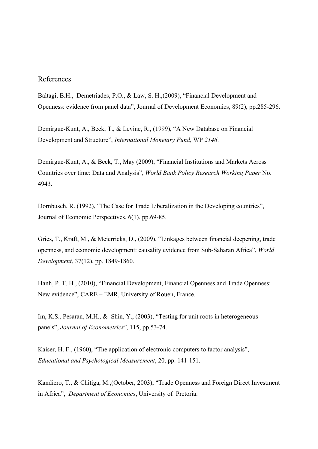## References

Baltagi, B.H., Demetriades, P.O., & Law, S. H.,(2009), "Financial Development and Openness: evidence from panel data", Journal of Development Economics, 89(2), pp.285-296.

Demirguc-Kunt, A., Beck, T., & Levine, R., (1999), "A New Database on Financial Development and Structure", *International Monetary Fund*, WP *2146*.

Demirguc-Kunt, A., & Beck, T., May (2009), "Financial Institutions and Markets Across Countries over time: Data and Analysis", *World Bank Policy Research Working Paper* No. 4943.

Dornbusch, R. (1992), "The Case for Trade Liberalization in the Developing countries", Journal of Economic Perspectives, 6(1), pp.69-85.

Gries, T., Kraft, M., & Meierrieks, D., (2009), "Linkages between financial deepening, trade openness, and economic development: causality evidence from Sub-Saharan Africa", *World Development*, 37(12), pp. 1849-1860.

Hanh, P. T. H., (2010), "Financial Development, Financial Openness and Trade Openness: New evidence", CARE – EMR, University of Rouen, France.

Im, K.S., Pesaran, M.H., & Shin, Y., (2003), "Testing for unit roots in heterogeneous panels", *Journal of Econometrics"*, 115, pp.53-74.

Kaiser, H. F., (1960), "The application of electronic computers to factor analysis", *Educational and Psychological Measurement*, 20, pp. 141-151.

Kandiero, T., & Chitiga, M.,(October, 2003), "Trade Openness and Foreign Direct Investment in Africa", *Department of Economics*, University of Pretoria.